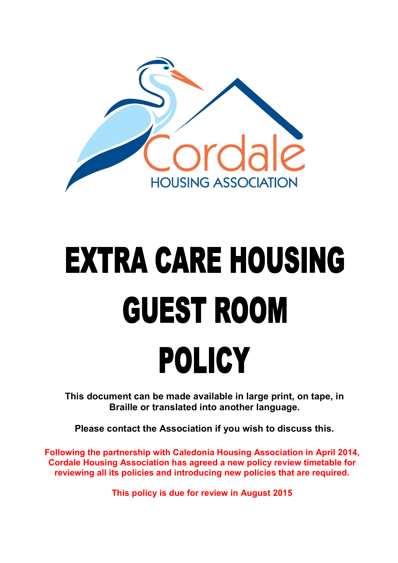

# **EXTRA CARE HOUSING GUEST ROOM POLICY**

**This document can be made available in large print, on tape, in Braille or translated into another language.** 

**Please contact the Association if you wish to discuss this.**

**Following the partnership with Caledonia Housing Association in April 2014, Cordale Housing Association has agreed a new policy review timetable for reviewing all its policies and introducing new policies that are required.**

**This policy is due for review in August 2015**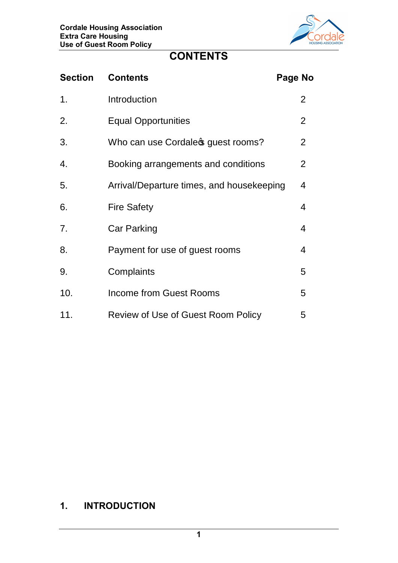

## **CONTENTS**

| <b>Section</b> | <b>Contents</b>                           | Page No |                |
|----------------|-------------------------------------------|---------|----------------|
| 1.             | Introduction                              |         | $\overline{2}$ |
| 2.             | <b>Equal Opportunities</b>                |         | $\overline{2}$ |
| 3.             | Who can use Cordale of guest rooms?       |         | $\overline{2}$ |
| 4.             | Booking arrangements and conditions       |         | $\overline{2}$ |
| 5.             | Arrival/Departure times, and housekeeping |         | 4              |
| 6.             | <b>Fire Safety</b>                        |         | 4              |
| 7.             | <b>Car Parking</b>                        |         | 4              |
| 8.             | Payment for use of guest rooms            |         | 4              |
| 9.             | Complaints                                |         | 5              |
| 10.            | <b>Income from Guest Rooms</b>            |         | 5              |
| 11.            | Review of Use of Guest Room Policy        |         | 5              |

## **1. INTRODUCTION**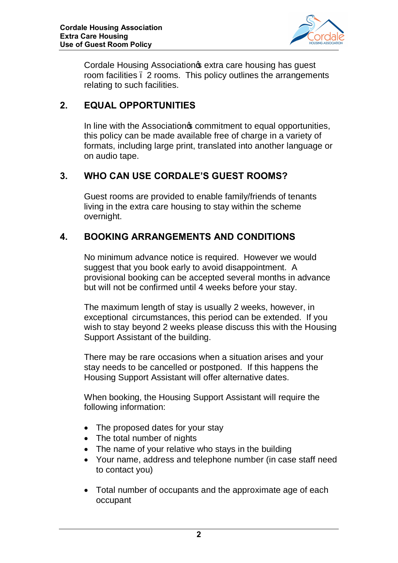

Cordale Housing Association of extra care housing has guest room facilities – 2 rooms. This policy outlines the arrangements relating to such facilities.

#### **2. EQUAL OPPORTUNITIES**

In line with the Association<sup>®</sup> commitment to equal opportunities, this policy can be made available free of charge in a variety of formats, including large print, translated into another language or on audio tape.

### **3. WHO CAN USE CORDALE'S GUEST ROOMS?**

Guest rooms are provided to enable family/friends of tenants living in the extra care housing to stay within the scheme overnight.

#### **4. BOOKING ARRANGEMENTS AND CONDITIONS**

No minimum advance notice is required. However we would suggest that you book early to avoid disappointment. A provisional booking can be accepted several months in advance but will not be confirmed until 4 weeks before your stay.

The maximum length of stay is usually 2 weeks, however, in exceptional circumstances, this period can be extended. If you wish to stay beyond 2 weeks please discuss this with the Housing Support Assistant of the building.

There may be rare occasions when a situation arises and your stay needs to be cancelled or postponed. If this happens the Housing Support Assistant will offer alternative dates.

When booking, the Housing Support Assistant will require the following information:

- · The proposed dates for your stay
- The total number of nights
- The name of your relative who stays in the building
- · Your name, address and telephone number (in case staff need to contact you)
- · Total number of occupants and the approximate age of each occupant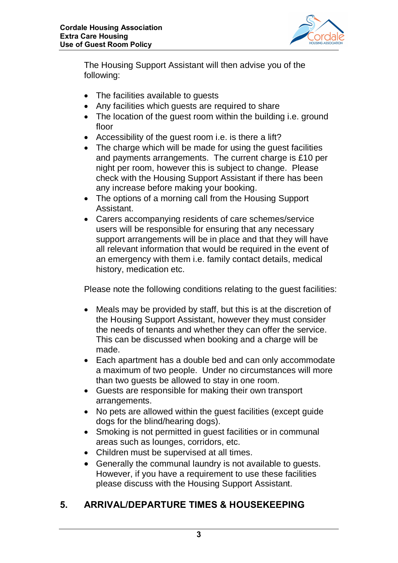

The Housing Support Assistant will then advise you of the following:

- The facilities available to guests
- Any facilities which guests are required to share
- The location of the quest room within the building i.e. ground floor
- Accessibility of the guest room i.e. is there a lift?
- The charge which will be made for using the guest facilities and payments arrangements. The current charge is £10 per night per room, however this is subject to change. Please check with the Housing Support Assistant if there has been any increase before making your booking.
- · The options of a morning call from the Housing Support Assistant.
- · Carers accompanying residents of care schemes/service users will be responsible for ensuring that any necessary support arrangements will be in place and that they will have all relevant information that would be required in the event of an emergency with them i.e. family contact details, medical history, medication etc.

Please note the following conditions relating to the guest facilities:

- · Meals may be provided by staff, but this is at the discretion of the Housing Support Assistant, however they must consider the needs of tenants and whether they can offer the service. This can be discussed when booking and a charge will be made.
- · Each apartment has a double bed and can only accommodate a maximum of two people. Under no circumstances will more than two guests be allowed to stay in one room.
- · Guests are responsible for making their own transport arrangements.
- · No pets are allowed within the guest facilities (except guide dogs for the blind/hearing dogs).
- Smoking is not permitted in guest facilities or in communal areas such as lounges, corridors, etc.
- Children must be supervised at all times.
- · Generally the communal laundry is not available to guests. However, if you have a requirement to use these facilities please discuss with the Housing Support Assistant.

## **5. ARRIVAL/DEPARTURE TIMES & HOUSEKEEPING**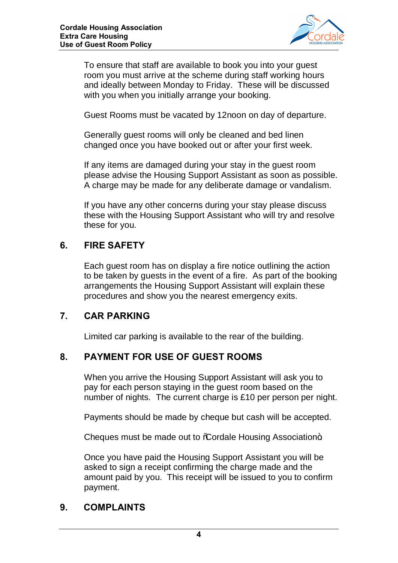

To ensure that staff are available to book you into your guest room you must arrive at the scheme during staff working hours and ideally between Monday to Friday. These will be discussed with you when you initially arrange your booking.

Guest Rooms must be vacated by 12noon on day of departure.

Generally guest rooms will only be cleaned and bed linen changed once you have booked out or after your first week.

If any items are damaged during your stay in the guest room please advise the Housing Support Assistant as soon as possible. A charge may be made for any deliberate damage or vandalism.

If you have any other concerns during your stay please discuss these with the Housing Support Assistant who will try and resolve these for you.

#### **6. FIRE SAFETY**

Each guest room has on display a fire notice outlining the action to be taken by guests in the event of a fire. As part of the booking arrangements the Housing Support Assistant will explain these procedures and show you the nearest emergency exits.

#### **7. CAR PARKING**

Limited car parking is available to the rear of the building.

#### **8. PAYMENT FOR USE OF GUEST ROOMS**

When you arrive the Housing Support Assistant will ask you to pay for each person staying in the guest room based on the number of nights. The current charge is £10 per person per night.

Payments should be made by cheque but cash will be accepted.

Cheques must be made out to %Cordale Housing Association+.

Once you have paid the Housing Support Assistant you will be asked to sign a receipt confirming the charge made and the amount paid by you. This receipt will be issued to you to confirm payment.

#### **9. COMPLAINTS**